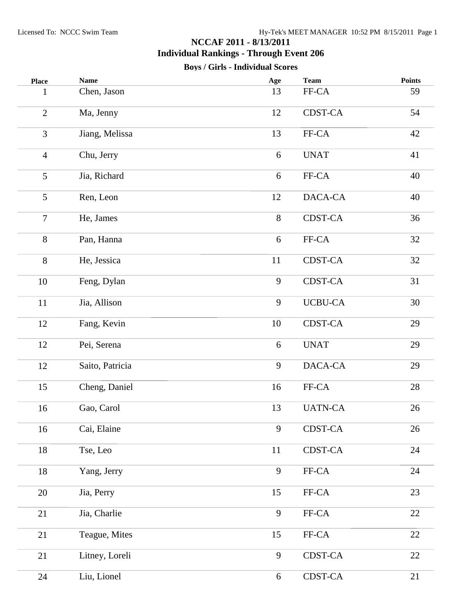| <b>Place</b>   | <b>Name</b>     | Age    | <b>Team</b>          | <b>Points</b> |
|----------------|-----------------|--------|----------------------|---------------|
| 1              | Chen, Jason     | 13     | FF-CA                | 59            |
| $\overline{2}$ | Ma, Jenny       | 12     | CDST-CA              | 54            |
| $\overline{3}$ | Jiang, Melissa  | 13     | FF-CA                | 42            |
| $\overline{4}$ | Chu, Jerry      | 6      | <b>UNAT</b>          | 41            |
| 5              | Jia, Richard    | 6      | FF-CA                | 40            |
| 5              | Ren, Leon       | 12     | DACA-CA              | 40            |
| $\overline{7}$ | He, James       | 8      | <b>CDST-CA</b>       | 36            |
| 8              | Pan, Hanna      | 6      | FF-CA                | 32            |
| 8              | He, Jessica     | 11     | <b>CDST-CA</b>       | 32            |
| 10             | Feng, Dylan     | 9      | <b>CDST-CA</b>       | 31            |
| 11             | Jia, Allison    | 9      | <b>UCBU-CA</b>       | 30            |
| 12             | Fang, Kevin     | 10     | CDST-CA              | 29            |
| 12             | Pei, Serena     | 6      | <b>UNAT</b>          | 29            |
| 12             | Saito, Patricia | 9      | DACA-CA              | 29            |
| 15             | Cheng, Daniel   | 16     | FF-CA                | 28            |
| 16             | Gao, Carol      | 13     | <b>UATN-CA</b>       | 26            |
| 16             | Cai, Elaine     | 9      | CDST-CA              | 26            |
| 18             | Tse, Leo        | $11\,$ | CDST-CA              | 24            |
| 18             | Yang, Jerry     | 9      | ${\rm FF\text{-}CA}$ | 24            |
| 20             | Jia, Perry      | 15     | FF-CA                | 23            |
| $21\,$         | Jia, Charlie    | 9      | FF-CA                | 22            |
| 21             | Teague, Mites   | 15     | FF-CA                | 22            |
| 21             | Litney, Loreli  | 9      | CDST-CA              | 22            |
| 24             | Liu, Lionel     | 6      | CDST-CA              | 21            |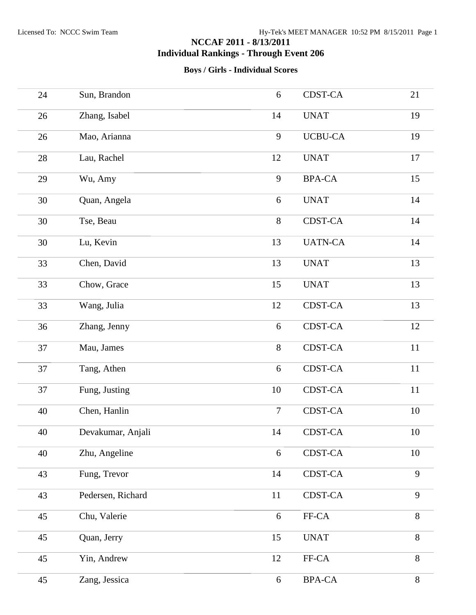| 24     | Sun, Brandon      | 6              | <b>CDST-CA</b> | 21     |
|--------|-------------------|----------------|----------------|--------|
| 26     | Zhang, Isabel     | 14             | <b>UNAT</b>    | 19     |
| 26     | Mao, Arianna      | 9              | <b>UCBU-CA</b> | 19     |
| 28     | Lau, Rachel       | 12             | <b>UNAT</b>    | 17     |
| 29     | Wu, Amy           | 9              | <b>BPA-CA</b>  | 15     |
| 30     | Quan, Angela      | 6              | <b>UNAT</b>    | 14     |
| 30     | Tse, Beau         | 8              | CDST-CA        | 14     |
| 30     | Lu, Kevin         | 13             | <b>UATN-CA</b> | 14     |
| 33     | Chen, David       | 13             | <b>UNAT</b>    | 13     |
| 33     | Chow, Grace       | 15             | <b>UNAT</b>    | 13     |
| 33     | Wang, Julia       | 12             | CDST-CA        | 13     |
| 36     | Zhang, Jenny      | 6              | CDST-CA        | 12     |
| 37     | Mau, James        | $8\,$          | CDST-CA        | 11     |
| 37     | Tang, Athen       | 6              | CDST-CA        | $11\,$ |
| 37     | Fung, Justing     | 10             | CDST-CA        | 11     |
| 40     | Chen, Hanlin      | $\overline{7}$ | <b>CDST-CA</b> | 10     |
| 40     | Devakumar, Anjali | 14             | <b>CDST-CA</b> | 10     |
| $40\,$ | Zhu, Angeline     | 6              | CDST-CA        | 10     |
| 43     | Fung, Trevor      | 14             | CDST-CA        | 9      |
| 43     | Pedersen, Richard | 11             | CDST-CA        | 9      |
| 45     | Chu, Valerie      | 6              | FF-CA          | 8      |
| 45     | Quan, Jerry       | 15             | <b>UNAT</b>    | 8      |
| 45     | Yin, Andrew       | 12             | FF-CA          | 8      |
| 45     | Zang, Jessica     | 6              | <b>BPA-CA</b>  | $8\,$  |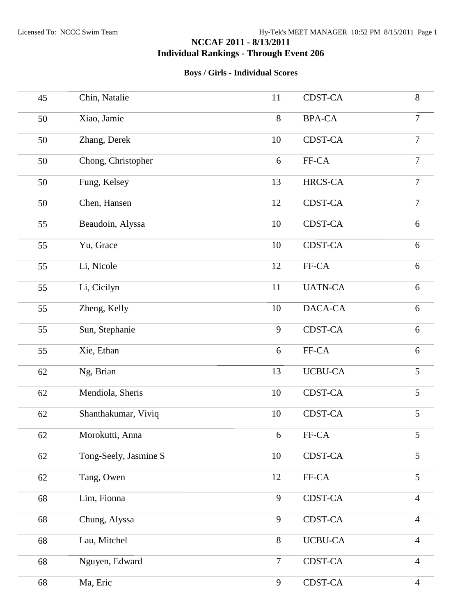| 45     | Chin, Natalie         | 11             | <b>CDST-CA</b> | 8              |
|--------|-----------------------|----------------|----------------|----------------|
| 50     | Xiao, Jamie           | $8\,$          | <b>BPA-CA</b>  | $\overline{7}$ |
| 50     | Zhang, Derek          | 10             | CDST-CA        | $\overline{7}$ |
| $50\,$ | Chong, Christopher    | 6              | FF-CA          | $\overline{7}$ |
| 50     | Fung, Kelsey          | 13             | HRCS-CA        | $\overline{7}$ |
| 50     | Chen, Hansen          | 12             | <b>CDST-CA</b> | $\overline{7}$ |
| 55     | Beaudoin, Alyssa      | 10             | CDST-CA        | 6              |
| 55     | Yu, Grace             | 10             | <b>CDST-CA</b> | $6\,$          |
| 55     | Li, Nicole            | 12             | FF-CA          | 6              |
| 55     | Li, Cicilyn           | 11             | <b>UATN-CA</b> | 6              |
| 55     | Zheng, Kelly          | 10             | DACA-CA        | $6\,$          |
| 55     | Sun, Stephanie        | 9              | <b>CDST-CA</b> | $6\,$          |
| 55     | Xie, Ethan            | 6              | FF-CA          | 6              |
| 62     | Ng, Brian             | 13             | <b>UCBU-CA</b> | 5              |
| 62     | Mendiola, Sheris      | 10             | CDST-CA        | 5              |
| 62     | Shanthakumar, Viviq   | 10             | <b>CDST-CA</b> | 5              |
| 62     | Morokutti, Anna       | 6              | FF-CA          | $\mathfrak s$  |
| 62     | Tong-Seely, Jasmine S | 10             | CDST-CA        | 5              |
| 62     | Tang, Owen            | 12             | FF-CA          | 5              |
| 68     | Lim, Fionna           | 9              | CDST-CA        | $\overline{4}$ |
| 68     | Chung, Alyssa         | 9              | CDST-CA        | $\overline{4}$ |
| 68     | Lau, Mitchel          | 8              | <b>UCBU-CA</b> | $\overline{4}$ |
| 68     | Nguyen, Edward        | $\overline{7}$ | CDST-CA        | $\overline{4}$ |
| 68     | Ma, Eric              | 9              | CDST-CA        | $\overline{4}$ |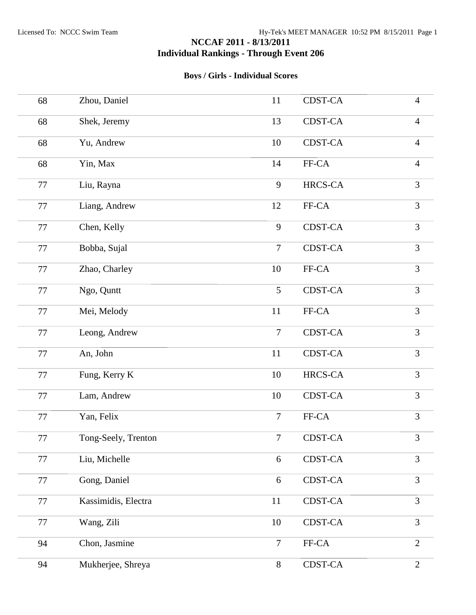| 68     | Zhou, Daniel        | 11             | CDST-CA        | $\overline{4}$ |
|--------|---------------------|----------------|----------------|----------------|
| 68     | Shek, Jeremy        | 13             | CDST-CA        | $\overline{4}$ |
| 68     | Yu, Andrew          | 10             | CDST-CA        | $\overline{4}$ |
| 68     | Yin, Max            | 14             | FF-CA          | $\overline{4}$ |
| 77     | Liu, Rayna          | 9              | HRCS-CA        | 3              |
| 77     | Liang, Andrew       | 12             | FF-CA          | $\overline{3}$ |
| 77     | Chen, Kelly         | 9              | CDST-CA        | 3              |
| 77     | Bobba, Sujal        | $\overline{7}$ | <b>CDST-CA</b> | $\overline{3}$ |
| 77     | Zhao, Charley       | 10             | FF-CA          | 3              |
| 77     | Ngo, Quntt          | 5              | <b>CDST-CA</b> | $\overline{3}$ |
| 77     | Mei, Melody         | 11             | FF-CA          | 3              |
| 77     | Leong, Andrew       | $\tau$         | <b>CDST-CA</b> | 3              |
| 77     | An, John            | 11             | CDST-CA        | 3              |
| 77     | Fung, Kerry K       | 10             | HRCS-CA        | 3              |
| 77     | Lam, Andrew         | 10             | CDST-CA        | 3              |
| 77     | Yan, Felix          | $\overline{7}$ | FF-CA          | 3              |
| $77\,$ | Tong-Seely, Trenton | $\overline{7}$ | CDST-CA        | $\mathfrak{Z}$ |
| 77     | Liu, Michelle       | 6              | CDST-CA        | 3              |
| 77     | Gong, Daniel        | 6              | CDST-CA        | 3              |
| 77     | Kassimidis, Electra | 11             | CDST-CA        | 3              |
| 77     | Wang, Zili          | 10             | CDST-CA        | 3              |
| 94     | Chon, Jasmine       | $\overline{7}$ | FF-CA          | $\overline{2}$ |
| 94     | Mukherjee, Shreya   | $8\,$          | CDST-CA        | $\overline{2}$ |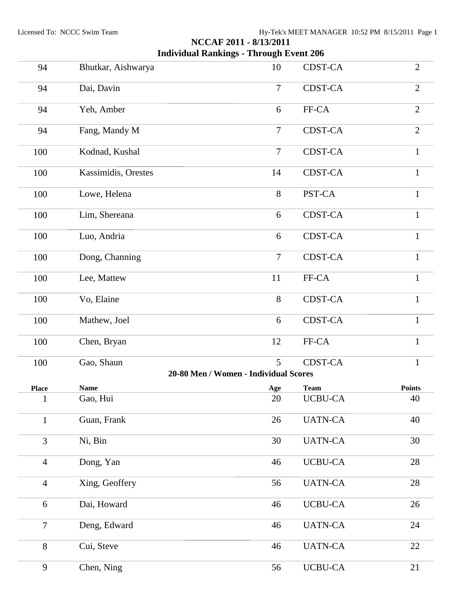| 94             | Bhutkar, Aishwarya  | 10                                         | CDST-CA        | $\overline{2}$ |
|----------------|---------------------|--------------------------------------------|----------------|----------------|
| 94             | Dai, Davin          | $\overline{7}$                             | <b>CDST-CA</b> | $\overline{2}$ |
| 94             | Yeh, Amber          | 6                                          | FF-CA          | $\overline{2}$ |
| 94             | Fang, Mandy M       | $\tau$                                     | <b>CDST-CA</b> | $\overline{2}$ |
| 100            | Kodnad, Kushal      | $\overline{7}$                             | CDST-CA        | $\mathbf{1}$   |
| 100            | Kassimidis, Orestes | 14                                         | <b>CDST-CA</b> | $\mathbf{1}$   |
| 100            | Lowe, Helena        | 8                                          | PST-CA         | $\mathbf{1}$   |
| 100            | Lim, Shereana       | 6                                          | <b>CDST-CA</b> | $\mathbf{1}$   |
| 100            | Luo, Andria         | 6                                          | <b>CDST-CA</b> | $\mathbf{1}$   |
| 100            | Dong, Channing      | $\overline{7}$                             | <b>CDST-CA</b> | $\mathbf{1}$   |
| 100            | Lee, Mattew         | 11                                         | FF-CA          | $\mathbf{1}$   |
| 100            | Vo, Elaine          | 8                                          | <b>CDST-CA</b> | $\mathbf{1}$   |
| 100            | Mathew, Joel        | 6                                          | <b>CDST-CA</b> | $\mathbf{1}$   |
| 100            | Chen, Bryan         | 12                                         | FF-CA          | $\mathbf{1}$   |
| 100            | Gao, Shaun          | 5<br>20-80 Men / Women - Individual Scores | <b>CDST-CA</b> | $\mathbf{1}$   |
|                |                     |                                            |                |                |
| <b>Place</b>   | <b>Name</b>         | Age                                        | <b>Team</b>    | <b>Points</b>  |
| 1              | Gao, Hui            | 20                                         | <b>UCBU-CA</b> | 40             |
| $\mathbf{1}$   | Guan, Frank         | 26                                         | <b>UATN-CA</b> | 40             |
| $\overline{3}$ | Ni, Bin             | 30                                         | <b>UATN-CA</b> | 30             |
| $\overline{4}$ | Dong, Yan           | 46                                         | <b>UCBU-CA</b> | 28             |
| $\overline{4}$ | Xing, Geoffery      | 56                                         | <b>UATN-CA</b> | 28             |
| 6              | Dai, Howard         | 46                                         | <b>UCBU-CA</b> | 26             |
| $\overline{7}$ | Deng, Edward        | 46                                         | <b>UATN-CA</b> | 24             |
| 8              | Cui, Steve          | 46                                         | <b>UATN-CA</b> | 22             |
| 9              | Chen, Ning          | 56                                         | <b>UCBU-CA</b> | 21             |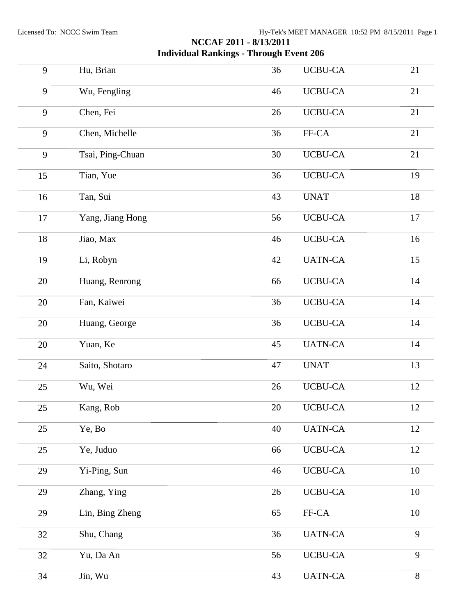| 9      | Hu, Brian        | 36 | <b>UCBU-CA</b> | 21     |
|--------|------------------|----|----------------|--------|
| 9      | Wu, Fengling     | 46 | <b>UCBU-CA</b> | 21     |
| 9      | Chen, Fei        | 26 | <b>UCBU-CA</b> | 21     |
| 9      | Chen, Michelle   | 36 | FF-CA          | 21     |
| 9      | Tsai, Ping-Chuan | 30 | <b>UCBU-CA</b> | 21     |
| 15     | Tian, Yue        | 36 | <b>UCBU-CA</b> | 19     |
| 16     | Tan, Sui         | 43 | <b>UNAT</b>    | $18\,$ |
| 17     | Yang, Jiang Hong | 56 | <b>UCBU-CA</b> | 17     |
| $18\,$ | Jiao, Max        | 46 | <b>UCBU-CA</b> | 16     |
| 19     | Li, Robyn        | 42 | <b>UATN-CA</b> | 15     |
| $20\,$ | Huang, Renrong   | 66 | <b>UCBU-CA</b> | 14     |
| $20\,$ | Fan, Kaiwei      | 36 | <b>UCBU-CA</b> | 14     |
| $20\,$ | Huang, George    | 36 | <b>UCBU-CA</b> | 14     |
| 20     | Yuan, Ke         | 45 | <b>UATN-CA</b> | 14     |
| 24     | Saito, Shotaro   | 47 | <b>UNAT</b>    | 13     |
| 25     | Wu, Wei          | 26 | <b>UCBU-CA</b> | 12     |
| 25     | Kang, Rob        | 20 | <b>UCBU-CA</b> | 12     |
| 25     | Ye, Bo           | 40 | <b>UATN-CA</b> | 12     |
| 25     | Ye, Juduo        | 66 | <b>UCBU-CA</b> | 12     |
| 29     | Yi-Ping, Sun     | 46 | <b>UCBU-CA</b> | 10     |
| 29     | Zhang, Ying      | 26 | <b>UCBU-CA</b> | $10\,$ |
| 29     | Lin, Bing Zheng  | 65 | FF-CA          | 10     |
| 32     | Shu, Chang       | 36 | <b>UATN-CA</b> | 9      |
| 32     | Yu, Da An        | 56 | <b>UCBU-CA</b> | 9      |
| 34     | Jin, Wu          | 43 | <b>UATN-CA</b> | $8\,$  |